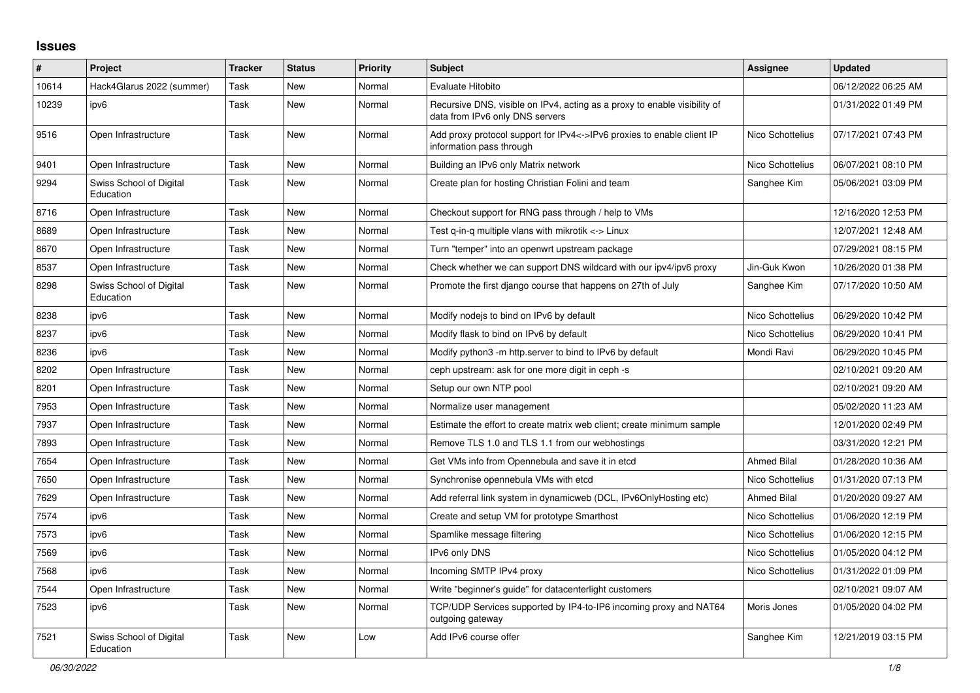## **Issues**

| $\#$  | Project                              | <b>Tracker</b> | <b>Status</b> | Priority | <b>Subject</b>                                                                                               | Assignee           | <b>Updated</b>      |
|-------|--------------------------------------|----------------|---------------|----------|--------------------------------------------------------------------------------------------------------------|--------------------|---------------------|
| 10614 | Hack4Glarus 2022 (summer)            | Task           | New           | Normal   | <b>Evaluate Hitobito</b>                                                                                     |                    | 06/12/2022 06:25 AM |
| 10239 | ipv6                                 | Task           | <b>New</b>    | Normal   | Recursive DNS, visible on IPv4, acting as a proxy to enable visibility of<br>data from IPv6 only DNS servers |                    | 01/31/2022 01:49 PM |
| 9516  | Open Infrastructure                  | Task           | New           | Normal   | Add proxy protocol support for IPv4<->IPv6 proxies to enable client IP<br>information pass through           | Nico Schottelius   | 07/17/2021 07:43 PM |
| 9401  | Open Infrastructure                  | Task           | New           | Normal   | Building an IPv6 only Matrix network                                                                         | Nico Schottelius   | 06/07/2021 08:10 PM |
| 9294  | Swiss School of Digital<br>Education | Task           | New           | Normal   | Create plan for hosting Christian Folini and team                                                            | Sanghee Kim        | 05/06/2021 03:09 PM |
| 8716  | Open Infrastructure                  | Task           | New           | Normal   | Checkout support for RNG pass through / help to VMs                                                          |                    | 12/16/2020 12:53 PM |
| 8689  | Open Infrastructure                  | Task           | New           | Normal   | Test q-in-q multiple vlans with mikrotik <-> Linux                                                           |                    | 12/07/2021 12:48 AM |
| 8670  | Open Infrastructure                  | Task           | <b>New</b>    | Normal   | Turn "temper" into an openwrt upstream package                                                               |                    | 07/29/2021 08:15 PM |
| 8537  | Open Infrastructure                  | Task           | New           | Normal   | Check whether we can support DNS wildcard with our ipv4/ipv6 proxy                                           | Jin-Guk Kwon       | 10/26/2020 01:38 PM |
| 8298  | Swiss School of Digital<br>Education | Task           | New           | Normal   | Promote the first diango course that happens on 27th of July                                                 | Sanghee Kim        | 07/17/2020 10:50 AM |
| 8238  | ipv6                                 | Task           | New           | Normal   | Modify nodejs to bind on IPv6 by default                                                                     | Nico Schottelius   | 06/29/2020 10:42 PM |
| 8237  | ipv6                                 | Task           | New           | Normal   | Modify flask to bind on IPv6 by default                                                                      | Nico Schottelius   | 06/29/2020 10:41 PM |
| 8236  | ipv6                                 | Task           | New           | Normal   | Modify python3 -m http.server to bind to IPv6 by default                                                     | Mondi Ravi         | 06/29/2020 10:45 PM |
| 8202  | Open Infrastructure                  | Task           | New           | Normal   | ceph upstream: ask for one more digit in ceph -s                                                             |                    | 02/10/2021 09:20 AM |
| 8201  | Open Infrastructure                  | Task           | New           | Normal   | Setup our own NTP pool                                                                                       |                    | 02/10/2021 09:20 AM |
| 7953  | Open Infrastructure                  | Task           | New           | Normal   | Normalize user management                                                                                    |                    | 05/02/2020 11:23 AM |
| 7937  | Open Infrastructure                  | Task           | New           | Normal   | Estimate the effort to create matrix web client; create minimum sample                                       |                    | 12/01/2020 02:49 PM |
| 7893  | Open Infrastructure                  | Task           | New           | Normal   | Remove TLS 1.0 and TLS 1.1 from our webhostings                                                              |                    | 03/31/2020 12:21 PM |
| 7654  | Open Infrastructure                  | Task           | New           | Normal   | Get VMs info from Opennebula and save it in etcd                                                             | <b>Ahmed Bilal</b> | 01/28/2020 10:36 AM |
| 7650  | Open Infrastructure                  | Task           | New           | Normal   | Synchronise opennebula VMs with etcd                                                                         | Nico Schottelius   | 01/31/2020 07:13 PM |
| 7629  | Open Infrastructure                  | Task           | New           | Normal   | Add referral link system in dynamicweb (DCL, IPv6OnlyHosting etc)                                            | <b>Ahmed Bilal</b> | 01/20/2020 09:27 AM |
| 7574  | ipv6                                 | Task           | <b>New</b>    | Normal   | Create and setup VM for prototype Smarthost                                                                  | Nico Schottelius   | 01/06/2020 12:19 PM |
| 7573  | ipv6                                 | Task           | New           | Normal   | Spamlike message filtering                                                                                   | Nico Schottelius   | 01/06/2020 12:15 PM |
| 7569  | ipv6                                 | Task           | New           | Normal   | IPv6 only DNS                                                                                                | Nico Schottelius   | 01/05/2020 04:12 PM |
| 7568  | ipv6                                 | Task           | New           | Normal   | Incoming SMTP IPv4 proxy                                                                                     | Nico Schottelius   | 01/31/2022 01:09 PM |
| 7544  | Open Infrastructure                  | Task           | New           | Normal   | Write "beginner's guide" for datacenterlight customers                                                       |                    | 02/10/2021 09:07 AM |
| 7523  | ipv6                                 | Task           | New           | Normal   | TCP/UDP Services supported by IP4-to-IP6 incoming proxy and NAT64<br>outgoing gateway                        | Moris Jones        | 01/05/2020 04:02 PM |
| 7521  | Swiss School of Digital<br>Education | Task           | New           | Low      | Add IPv6 course offer                                                                                        | Sanghee Kim        | 12/21/2019 03:15 PM |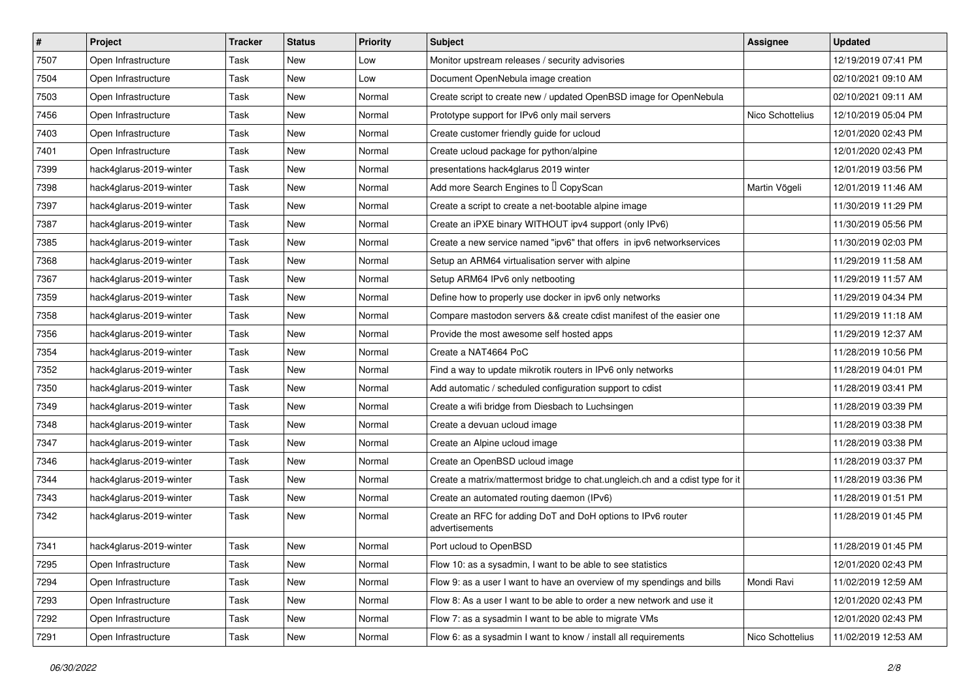| $\vert$ # | Project                 | <b>Tracker</b> | <b>Status</b> | <b>Priority</b> | Subject                                                                       | Assignee         | <b>Updated</b>      |
|-----------|-------------------------|----------------|---------------|-----------------|-------------------------------------------------------------------------------|------------------|---------------------|
| 7507      | Open Infrastructure     | Task           | New           | Low             | Monitor upstream releases / security advisories                               |                  | 12/19/2019 07:41 PM |
| 7504      | Open Infrastructure     | Task           | <b>New</b>    | Low             | Document OpenNebula image creation                                            |                  | 02/10/2021 09:10 AM |
| 7503      | Open Infrastructure     | Task           | New           | Normal          | Create script to create new / updated OpenBSD image for OpenNebula            |                  | 02/10/2021 09:11 AM |
| 7456      | Open Infrastructure     | Task           | New           | Normal          | Prototype support for IPv6 only mail servers                                  | Nico Schottelius | 12/10/2019 05:04 PM |
| 7403      | Open Infrastructure     | Task           | New           | Normal          | Create customer friendly guide for ucloud                                     |                  | 12/01/2020 02:43 PM |
| 7401      | Open Infrastructure     | Task           | New           | Normal          | Create ucloud package for python/alpine                                       |                  | 12/01/2020 02:43 PM |
| 7399      | hack4glarus-2019-winter | Task           | New           | Normal          | presentations hack4glarus 2019 winter                                         |                  | 12/01/2019 03:56 PM |
| 7398      | hack4glarus-2019-winter | Task           | New           | Normal          | Add more Search Engines to I CopyScan                                         | Martin Vögeli    | 12/01/2019 11:46 AM |
| 7397      | hack4glarus-2019-winter | Task           | New           | Normal          | Create a script to create a net-bootable alpine image                         |                  | 11/30/2019 11:29 PM |
| 7387      | hack4glarus-2019-winter | Task           | New           | Normal          | Create an iPXE binary WITHOUT ipv4 support (only IPv6)                        |                  | 11/30/2019 05:56 PM |
| 7385      | hack4glarus-2019-winter | Task           | New           | Normal          | Create a new service named "ipv6" that offers in ipv6 networkservices         |                  | 11/30/2019 02:03 PM |
| 7368      | hack4glarus-2019-winter | Task           | New           | Normal          | Setup an ARM64 virtualisation server with alpine                              |                  | 11/29/2019 11:58 AM |
| 7367      | hack4glarus-2019-winter | Task           | New           | Normal          | Setup ARM64 IPv6 only netbooting                                              |                  | 11/29/2019 11:57 AM |
| 7359      | hack4glarus-2019-winter | Task           | New           | Normal          | Define how to properly use docker in ipv6 only networks                       |                  | 11/29/2019 04:34 PM |
| 7358      | hack4glarus-2019-winter | Task           | New           | Normal          | Compare mastodon servers && create cdist manifest of the easier one           |                  | 11/29/2019 11:18 AM |
| 7356      | hack4glarus-2019-winter | Task           | New           | Normal          | Provide the most awesome self hosted apps                                     |                  | 11/29/2019 12:37 AM |
| 7354      | hack4glarus-2019-winter | Task           | New           | Normal          | Create a NAT4664 PoC                                                          |                  | 11/28/2019 10:56 PM |
| 7352      | hack4glarus-2019-winter | Task           | New           | Normal          | Find a way to update mikrotik routers in IPv6 only networks                   |                  | 11/28/2019 04:01 PM |
| 7350      | hack4glarus-2019-winter | Task           | New           | Normal          | Add automatic / scheduled configuration support to cdist                      |                  | 11/28/2019 03:41 PM |
| 7349      | hack4glarus-2019-winter | Task           | <b>New</b>    | Normal          | Create a wifi bridge from Diesbach to Luchsingen                              |                  | 11/28/2019 03:39 PM |
| 7348      | hack4glarus-2019-winter | Task           | New           | Normal          | Create a devuan ucloud image                                                  |                  | 11/28/2019 03:38 PM |
| 7347      | hack4glarus-2019-winter | Task           | New           | Normal          | Create an Alpine ucloud image                                                 |                  | 11/28/2019 03:38 PM |
| 7346      | hack4glarus-2019-winter | Task           | New           | Normal          | Create an OpenBSD ucloud image                                                |                  | 11/28/2019 03:37 PM |
| 7344      | hack4glarus-2019-winter | Task           | New           | Normal          | Create a matrix/mattermost bridge to chat.ungleich.ch and a cdist type for it |                  | 11/28/2019 03:36 PM |
| 7343      | hack4glarus-2019-winter | Task           | New           | Normal          | Create an automated routing daemon (IPv6)                                     |                  | 11/28/2019 01:51 PM |
| 7342      | hack4glarus-2019-winter | Task           | New           | Normal          | Create an RFC for adding DoT and DoH options to IPv6 router<br>advertisements |                  | 11/28/2019 01:45 PM |
| 7341      | hack4glarus-2019-winter | Task           | New           | Normal          | Port ucloud to OpenBSD                                                        |                  | 11/28/2019 01:45 PM |
| 7295      | Open Infrastructure     | Task           | New           | Normal          | Flow 10: as a sysadmin, I want to be able to see statistics                   |                  | 12/01/2020 02:43 PM |
| 7294      | Open Infrastructure     | Task           | New           | Normal          | Flow 9: as a user I want to have an overview of my spendings and bills        | Mondi Ravi       | 11/02/2019 12:59 AM |
| 7293      | Open Infrastructure     | Task           | New           | Normal          | Flow 8: As a user I want to be able to order a new network and use it         |                  | 12/01/2020 02:43 PM |
| 7292      | Open Infrastructure     | Task           | New           | Normal          | Flow 7: as a sysadmin I want to be able to migrate VMs                        |                  | 12/01/2020 02:43 PM |
| 7291      | Open Infrastructure     | Task           | New           | Normal          | Flow 6: as a sysadmin I want to know / install all requirements               | Nico Schottelius | 11/02/2019 12:53 AM |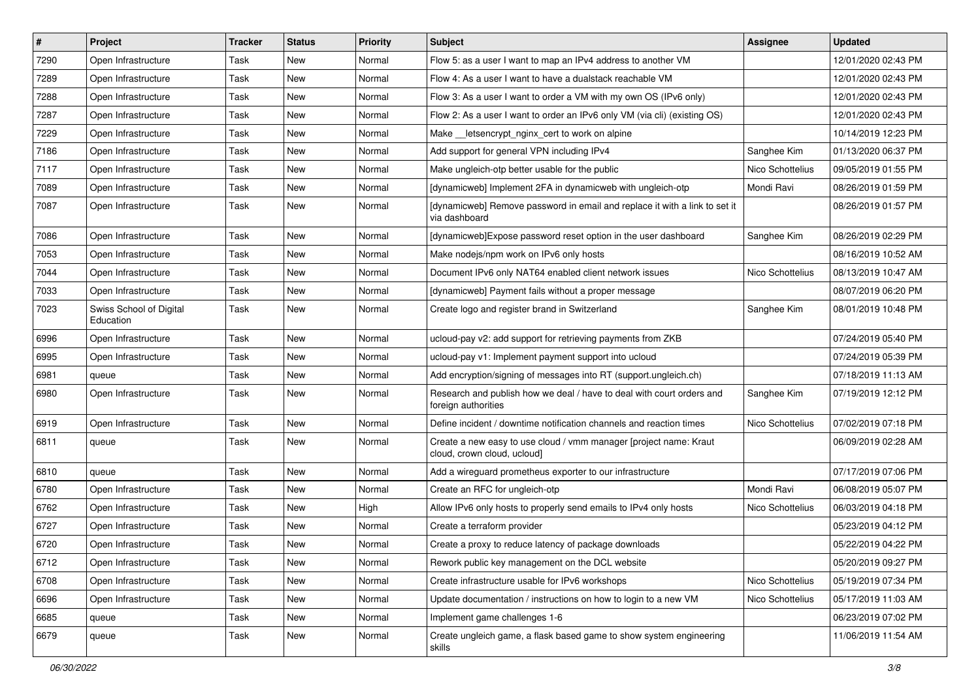| $\vert$ # | Project                              | <b>Tracker</b> | <b>Status</b> | <b>Priority</b> | Subject                                                                                          | <b>Assignee</b>  | <b>Updated</b>      |
|-----------|--------------------------------------|----------------|---------------|-----------------|--------------------------------------------------------------------------------------------------|------------------|---------------------|
| 7290      | Open Infrastructure                  | Task           | New           | Normal          | Flow 5: as a user I want to map an IPv4 address to another VM                                    |                  | 12/01/2020 02:43 PM |
| 7289      | Open Infrastructure                  | Task           | New           | Normal          | Flow 4: As a user I want to have a dualstack reachable VM                                        |                  | 12/01/2020 02:43 PM |
| 7288      | Open Infrastructure                  | Task           | New           | Normal          | Flow 3: As a user I want to order a VM with my own OS (IPv6 only)                                |                  | 12/01/2020 02:43 PM |
| 7287      | Open Infrastructure                  | Task           | New           | Normal          | Flow 2: As a user I want to order an IPv6 only VM (via cli) (existing OS)                        |                  | 12/01/2020 02:43 PM |
| 7229      | Open Infrastructure                  | Task           | New           | Normal          | Make letsencrypt nginx cert to work on alpine                                                    |                  | 10/14/2019 12:23 PM |
| 7186      | Open Infrastructure                  | Task           | New           | Normal          | Add support for general VPN including IPv4                                                       | Sanghee Kim      | 01/13/2020 06:37 PM |
| 7117      | Open Infrastructure                  | Task           | New           | Normal          | Make ungleich-otp better usable for the public                                                   | Nico Schottelius | 09/05/2019 01:55 PM |
| 7089      | Open Infrastructure                  | Task           | New           | Normal          | [dynamicweb] Implement 2FA in dynamicweb with ungleich-otp                                       | Mondi Ravi       | 08/26/2019 01:59 PM |
| 7087      | Open Infrastructure                  | Task           | New           | Normal          | [dynamicweb] Remove password in email and replace it with a link to set it<br>via dashboard      |                  | 08/26/2019 01:57 PM |
| 7086      | Open Infrastructure                  | Task           | New           | Normal          | [dynamicweb]Expose password reset option in the user dashboard                                   | Sanghee Kim      | 08/26/2019 02:29 PM |
| 7053      | Open Infrastructure                  | Task           | New           | Normal          | Make nodejs/npm work on IPv6 only hosts                                                          |                  | 08/16/2019 10:52 AM |
| 7044      | Open Infrastructure                  | Task           | <b>New</b>    | Normal          | Document IPv6 only NAT64 enabled client network issues                                           | Nico Schottelius | 08/13/2019 10:47 AM |
| 7033      | Open Infrastructure                  | Task           | New           | Normal          | [dynamicweb] Payment fails without a proper message                                              |                  | 08/07/2019 06:20 PM |
| 7023      | Swiss School of Digital<br>Education | Task           | New           | Normal          | Create logo and register brand in Switzerland                                                    | Sanghee Kim      | 08/01/2019 10:48 PM |
| 6996      | Open Infrastructure                  | Task           | New           | Normal          | ucloud-pay v2: add support for retrieving payments from ZKB                                      |                  | 07/24/2019 05:40 PM |
| 6995      | Open Infrastructure                  | Task           | New           | Normal          | ucloud-pay v1: Implement payment support into ucloud                                             |                  | 07/24/2019 05:39 PM |
| 6981      | queue                                | Task           | New           | Normal          | Add encryption/signing of messages into RT (support.ungleich.ch)                                 |                  | 07/18/2019 11:13 AM |
| 6980      | Open Infrastructure                  | Task           | New           | Normal          | Research and publish how we deal / have to deal with court orders and<br>foreign authorities     | Sanghee Kim      | 07/19/2019 12:12 PM |
| 6919      | Open Infrastructure                  | Task           | New           | Normal          | Define incident / downtime notification channels and reaction times                              | Nico Schottelius | 07/02/2019 07:18 PM |
| 6811      | queue                                | Task           | New           | Normal          | Create a new easy to use cloud / vmm manager [project name: Kraut<br>cloud, crown cloud, ucloud] |                  | 06/09/2019 02:28 AM |
| 6810      | queue                                | Task           | <b>New</b>    | Normal          | Add a wireguard prometheus exporter to our infrastructure                                        |                  | 07/17/2019 07:06 PM |
| 6780      | Open Infrastructure                  | Task           | New           | Normal          | Create an RFC for ungleich-otp                                                                   | Mondi Ravi       | 06/08/2019 05:07 PM |
| 6762      | Open Infrastructure                  | Task           | New           | High            | Allow IPv6 only hosts to properly send emails to IPv4 only hosts                                 | Nico Schottelius | 06/03/2019 04:18 PM |
| 6727      | Open Infrastructure                  | Task           | New           | Normal          | Create a terraform provider                                                                      |                  | 05/23/2019 04:12 PM |
| 6720      | Open Infrastructure                  | Task           | New           | Normal          | Create a proxy to reduce latency of package downloads                                            |                  | 05/22/2019 04:22 PM |
| 6712      | Open Infrastructure                  | Task           | New           | Normal          | Rework public key management on the DCL website                                                  |                  | 05/20/2019 09:27 PM |
| 6708      | Open Infrastructure                  | Task           | <b>New</b>    | Normal          | Create infrastructure usable for IPv6 workshops                                                  | Nico Schottelius | 05/19/2019 07:34 PM |
| 6696      | Open Infrastructure                  | Task           | New           | Normal          | Update documentation / instructions on how to login to a new VM                                  | Nico Schottelius | 05/17/2019 11:03 AM |
| 6685      | queue                                | Task           | New           | Normal          | Implement game challenges 1-6                                                                    |                  | 06/23/2019 07:02 PM |
| 6679      | queue                                | Task           | New           | Normal          | Create ungleich game, a flask based game to show system engineering<br>skills                    |                  | 11/06/2019 11:54 AM |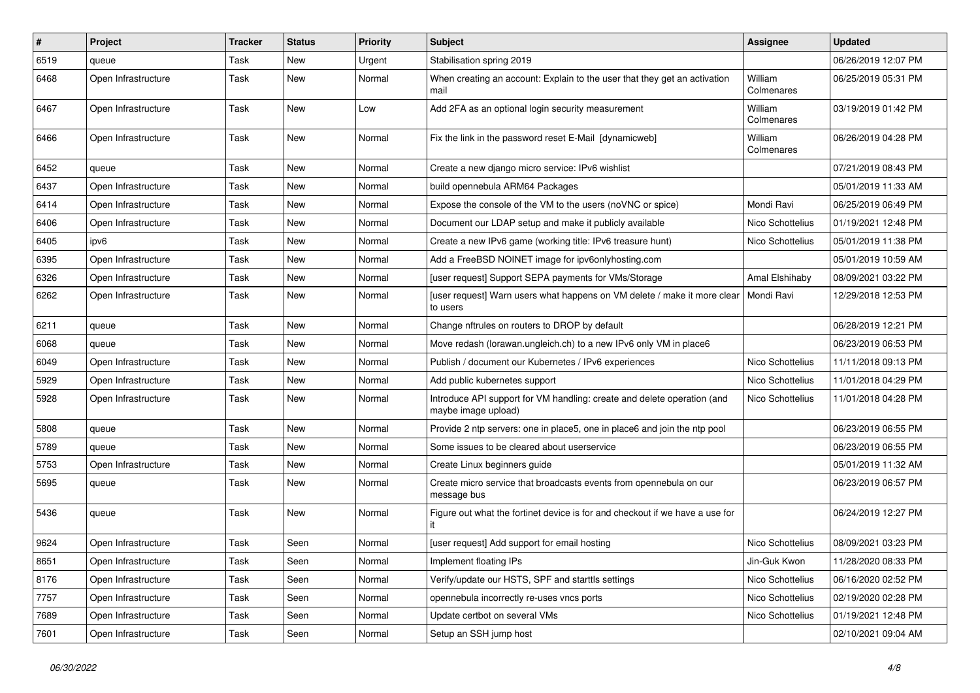| #    | <b>Project</b>      | Tracker | <b>Status</b> | <b>Priority</b> | Subject                                                                                        | <b>Assignee</b>       | <b>Updated</b>      |
|------|---------------------|---------|---------------|-----------------|------------------------------------------------------------------------------------------------|-----------------------|---------------------|
| 6519 | queue               | Task    | New           | Urgent          | Stabilisation spring 2019                                                                      |                       | 06/26/2019 12:07 PM |
| 6468 | Open Infrastructure | Task    | New           | Normal          | When creating an account: Explain to the user that they get an activation<br>mail              | William<br>Colmenares | 06/25/2019 05:31 PM |
| 6467 | Open Infrastructure | Task    | New           | Low             | Add 2FA as an optional login security measurement                                              | William<br>Colmenares | 03/19/2019 01:42 PM |
| 6466 | Open Infrastructure | Task    | New           | Normal          | Fix the link in the password reset E-Mail [dynamicweb]                                         | William<br>Colmenares | 06/26/2019 04:28 PM |
| 6452 | queue               | Task    | New           | Normal          | Create a new diango micro service: IPv6 wishlist                                               |                       | 07/21/2019 08:43 PM |
| 6437 | Open Infrastructure | Task    | New           | Normal          | build opennebula ARM64 Packages                                                                |                       | 05/01/2019 11:33 AM |
| 6414 | Open Infrastructure | Task    | <b>New</b>    | Normal          | Expose the console of the VM to the users (noVNC or spice)                                     | Mondi Ravi            | 06/25/2019 06:49 PM |
| 6406 | Open Infrastructure | Task    | New           | Normal          | Document our LDAP setup and make it publicly available                                         | Nico Schottelius      | 01/19/2021 12:48 PM |
| 6405 | ipv6                | Task    | <b>New</b>    | Normal          | Create a new IPv6 game (working title: IPv6 treasure hunt)                                     | Nico Schottelius      | 05/01/2019 11:38 PM |
| 6395 | Open Infrastructure | Task    | New           | Normal          | Add a FreeBSD NOINET image for ipv6onlyhosting.com                                             |                       | 05/01/2019 10:59 AM |
| 6326 | Open Infrastructure | Task    | New           | Normal          | [user request] Support SEPA payments for VMs/Storage                                           | Amal Elshihaby        | 08/09/2021 03:22 PM |
| 6262 | Open Infrastructure | Task    | New           | Normal          | [user request] Warn users what happens on VM delete / make it more clear<br>to users           | Mondi Ravi            | 12/29/2018 12:53 PM |
| 6211 | queue               | Task    | New           | Normal          | Change nftrules on routers to DROP by default                                                  |                       | 06/28/2019 12:21 PM |
| 6068 | queue               | Task    | <b>New</b>    | Normal          | Move redash (lorawan.ungleich.ch) to a new IPv6 only VM in place6                              |                       | 06/23/2019 06:53 PM |
| 6049 | Open Infrastructure | Task    | New           | Normal          | Publish / document our Kubernetes / IPv6 experiences                                           | Nico Schottelius      | 11/11/2018 09:13 PM |
| 5929 | Open Infrastructure | Task    | <b>New</b>    | Normal          | Add public kubernetes support                                                                  | Nico Schottelius      | 11/01/2018 04:29 PM |
| 5928 | Open Infrastructure | Task    | New           | Normal          | Introduce API support for VM handling: create and delete operation (and<br>maybe image upload) | Nico Schottelius      | 11/01/2018 04:28 PM |
| 5808 | queue               | Task    | New           | Normal          | Provide 2 ntp servers: one in place5, one in place6 and join the ntp pool                      |                       | 06/23/2019 06:55 PM |
| 5789 | queue               | Task    | New           | Normal          | Some issues to be cleared about userservice                                                    |                       | 06/23/2019 06:55 PM |
| 5753 | Open Infrastructure | Task    | New           | Normal          | Create Linux beginners guide                                                                   |                       | 05/01/2019 11:32 AM |
| 5695 | queue               | Task    | New           | Normal          | Create micro service that broadcasts events from opennebula on our<br>message bus              |                       | 06/23/2019 06:57 PM |
| 5436 | queue               | Task    | New           | Normal          | Figure out what the fortinet device is for and checkout if we have a use for                   |                       | 06/24/2019 12:27 PM |
| 9624 | Open Infrastructure | Task    | Seen          | Normal          | [user request] Add support for email hosting                                                   | Nico Schottelius      | 08/09/2021 03:23 PM |
| 8651 | Open Infrastructure | Task    | Seen          | Normal          | Implement floating IPs                                                                         | Jin-Guk Kwon          | 11/28/2020 08:33 PM |
| 8176 | Open Infrastructure | Task    | Seen          | Normal          | Verify/update our HSTS, SPF and starttls settings                                              | Nico Schottelius      | 06/16/2020 02:52 PM |
| 7757 | Open Infrastructure | Task    | Seen          | Normal          | opennebula incorrectly re-uses vncs ports                                                      | Nico Schottelius      | 02/19/2020 02:28 PM |
| 7689 | Open Infrastructure | Task    | Seen          | Normal          | Update certbot on several VMs                                                                  | Nico Schottelius      | 01/19/2021 12:48 PM |
| 7601 | Open Infrastructure | Task    | Seen          | Normal          | Setup an SSH jump host                                                                         |                       | 02/10/2021 09:04 AM |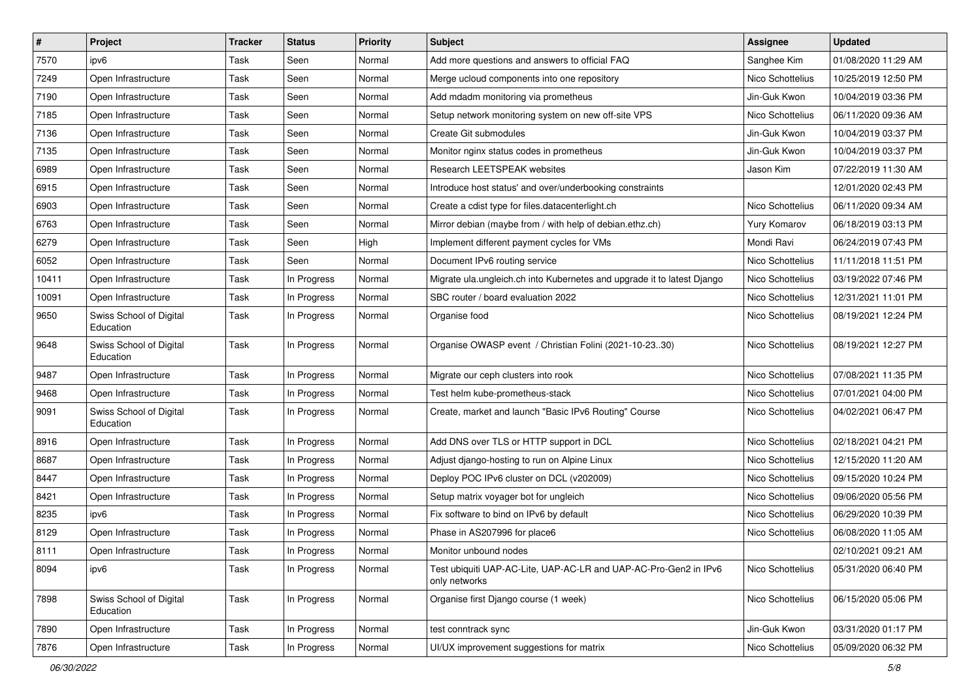| $\sharp$ | Project                              | <b>Tracker</b> | <b>Status</b> | <b>Priority</b> | <b>Subject</b>                                                                    | <b>Assignee</b>  | <b>Updated</b>      |
|----------|--------------------------------------|----------------|---------------|-----------------|-----------------------------------------------------------------------------------|------------------|---------------------|
| 7570     | ipv6                                 | Task           | Seen          | Normal          | Add more questions and answers to official FAQ                                    | Sanghee Kim      | 01/08/2020 11:29 AM |
| 7249     | Open Infrastructure                  | Task           | Seen          | Normal          | Merge ucloud components into one repository                                       | Nico Schottelius | 10/25/2019 12:50 PM |
| 7190     | Open Infrastructure                  | Task           | Seen          | Normal          | Add mdadm monitoring via prometheus                                               | Jin-Guk Kwon     | 10/04/2019 03:36 PM |
| 7185     | Open Infrastructure                  | Task           | Seen          | Normal          | Setup network monitoring system on new off-site VPS                               | Nico Schottelius | 06/11/2020 09:36 AM |
| 7136     | Open Infrastructure                  | Task           | Seen          | Normal          | Create Git submodules                                                             | Jin-Guk Kwon     | 10/04/2019 03:37 PM |
| 7135     | Open Infrastructure                  | Task           | Seen          | Normal          | Monitor nginx status codes in prometheus                                          | Jin-Guk Kwon     | 10/04/2019 03:37 PM |
| 6989     | Open Infrastructure                  | Task           | Seen          | Normal          | Research LEETSPEAK websites                                                       | Jason Kim        | 07/22/2019 11:30 AM |
| 6915     | Open Infrastructure                  | Task           | Seen          | Normal          | Introduce host status' and over/underbooking constraints                          |                  | 12/01/2020 02:43 PM |
| 6903     | Open Infrastructure                  | Task           | Seen          | Normal          | Create a cdist type for files.datacenterlight.ch                                  | Nico Schottelius | 06/11/2020 09:34 AM |
| 6763     | Open Infrastructure                  | Task           | Seen          | Normal          | Mirror debian (maybe from / with help of debian.ethz.ch)                          | Yury Komarov     | 06/18/2019 03:13 PM |
| 6279     | Open Infrastructure                  | Task           | Seen          | High            | Implement different payment cycles for VMs                                        | Mondi Ravi       | 06/24/2019 07:43 PM |
| 6052     | Open Infrastructure                  | Task           | Seen          | Normal          | Document IPv6 routing service                                                     | Nico Schottelius | 11/11/2018 11:51 PM |
| 10411    | Open Infrastructure                  | Task           | In Progress   | Normal          | Migrate ula.ungleich.ch into Kubernetes and upgrade it to latest Django           | Nico Schottelius | 03/19/2022 07:46 PM |
| 10091    | Open Infrastructure                  | Task           | In Progress   | Normal          | SBC router / board evaluation 2022                                                | Nico Schottelius | 12/31/2021 11:01 PM |
| 9650     | Swiss School of Digital<br>Education | Task           | In Progress   | Normal          | Organise food                                                                     | Nico Schottelius | 08/19/2021 12:24 PM |
| 9648     | Swiss School of Digital<br>Education | Task           | In Progress   | Normal          | Organise OWASP event / Christian Folini (2021-10-2330)                            | Nico Schottelius | 08/19/2021 12:27 PM |
| 9487     | Open Infrastructure                  | Task           | In Progress   | Normal          | Migrate our ceph clusters into rook                                               | Nico Schottelius | 07/08/2021 11:35 PM |
| 9468     | Open Infrastructure                  | Task           | In Progress   | Normal          | Test helm kube-prometheus-stack                                                   | Nico Schottelius | 07/01/2021 04:00 PM |
| 9091     | Swiss School of Digital<br>Education | Task           | In Progress   | Normal          | Create, market and launch "Basic IPv6 Routing" Course                             | Nico Schottelius | 04/02/2021 06:47 PM |
| 8916     | Open Infrastructure                  | Task           | In Progress   | Normal          | Add DNS over TLS or HTTP support in DCL                                           | Nico Schottelius | 02/18/2021 04:21 PM |
| 8687     | Open Infrastructure                  | Task           | In Progress   | Normal          | Adjust diango-hosting to run on Alpine Linux                                      | Nico Schottelius | 12/15/2020 11:20 AM |
| 8447     | Open Infrastructure                  | Task           | In Progress   | Normal          | Deploy POC IPv6 cluster on DCL (v202009)                                          | Nico Schottelius | 09/15/2020 10:24 PM |
| 8421     | Open Infrastructure                  | Task           | In Progress   | Normal          | Setup matrix voyager bot for ungleich                                             | Nico Schottelius | 09/06/2020 05:56 PM |
| 8235     | ipv6                                 | Task           | In Progress   | Normal          | Fix software to bind on IPv6 by default                                           | Nico Schottelius | 06/29/2020 10:39 PM |
| 8129     | Open Infrastructure                  | Task           | In Progress   | Normal          | Phase in AS207996 for place6                                                      | Nico Schottelius | 06/08/2020 11:05 AM |
| 8111     | Open Infrastructure                  | Task           | In Progress   | Normal          | Monitor unbound nodes                                                             |                  | 02/10/2021 09:21 AM |
| 8094     | ipv6                                 | Task           | In Progress   | Normal          | Test ubiquiti UAP-AC-Lite, UAP-AC-LR and UAP-AC-Pro-Gen2 in IPv6<br>only networks | Nico Schottelius | 05/31/2020 06:40 PM |
| 7898     | Swiss School of Digital<br>Education | Task           | In Progress   | Normal          | Organise first Django course (1 week)                                             | Nico Schottelius | 06/15/2020 05:06 PM |
| 7890     | Open Infrastructure                  | Task           | In Progress   | Normal          | test conntrack sync                                                               | Jin-Guk Kwon     | 03/31/2020 01:17 PM |
| 7876     | Open Infrastructure                  | Task           | In Progress   | Normal          | UI/UX improvement suggestions for matrix                                          | Nico Schottelius | 05/09/2020 06:32 PM |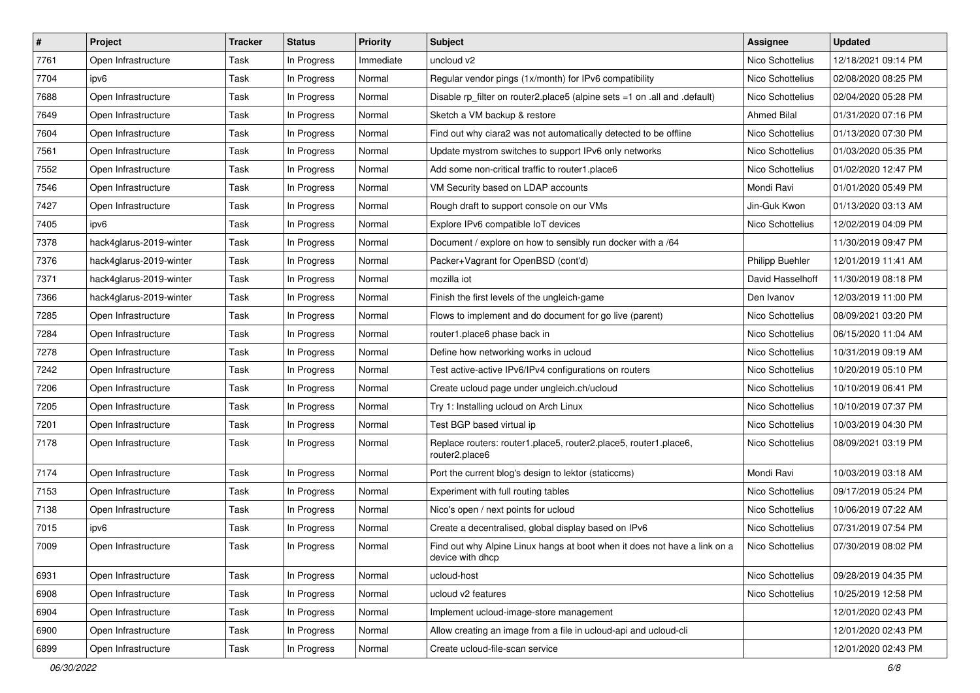| $\vert$ # | Project                 | <b>Tracker</b> | <b>Status</b> | <b>Priority</b> | <b>Subject</b>                                                                                | Assignee           | <b>Updated</b>      |
|-----------|-------------------------|----------------|---------------|-----------------|-----------------------------------------------------------------------------------------------|--------------------|---------------------|
| 7761      | Open Infrastructure     | Task           | In Progress   | Immediate       | uncloud v2                                                                                    | Nico Schottelius   | 12/18/2021 09:14 PM |
| 7704      | ipv6                    | Task           | In Progress   | Normal          | Regular vendor pings (1x/month) for IPv6 compatibility                                        | Nico Schottelius   | 02/08/2020 08:25 PM |
| 7688      | Open Infrastructure     | Task           | In Progress   | Normal          | Disable rp_filter on router2.place5 (alpine sets =1 on .all and .default)                     | Nico Schottelius   | 02/04/2020 05:28 PM |
| 7649      | Open Infrastructure     | Task           | In Progress   | Normal          | Sketch a VM backup & restore                                                                  | <b>Ahmed Bilal</b> | 01/31/2020 07:16 PM |
| 7604      | Open Infrastructure     | Task           | In Progress   | Normal          | Find out why ciara2 was not automatically detected to be offline                              | Nico Schottelius   | 01/13/2020 07:30 PM |
| 7561      | Open Infrastructure     | Task           | In Progress   | Normal          | Update mystrom switches to support IPv6 only networks                                         | Nico Schottelius   | 01/03/2020 05:35 PM |
| 7552      | Open Infrastructure     | Task           | In Progress   | Normal          | Add some non-critical traffic to router1.place6                                               | Nico Schottelius   | 01/02/2020 12:47 PM |
| 7546      | Open Infrastructure     | Task           | In Progress   | Normal          | VM Security based on LDAP accounts                                                            | Mondi Ravi         | 01/01/2020 05:49 PM |
| 7427      | Open Infrastructure     | Task           | In Progress   | Normal          | Rough draft to support console on our VMs                                                     | Jin-Guk Kwon       | 01/13/2020 03:13 AM |
| 7405      | ipv6                    | Task           | In Progress   | Normal          | Explore IPv6 compatible IoT devices                                                           | Nico Schottelius   | 12/02/2019 04:09 PM |
| 7378      | hack4glarus-2019-winter | Task           | In Progress   | Normal          | Document / explore on how to sensibly run docker with a /64                                   |                    | 11/30/2019 09:47 PM |
| 7376      | hack4glarus-2019-winter | Task           | In Progress   | Normal          | Packer+Vagrant for OpenBSD (cont'd)                                                           | Philipp Buehler    | 12/01/2019 11:41 AM |
| 7371      | hack4glarus-2019-winter | Task           | In Progress   | Normal          | mozilla iot                                                                                   | David Hasselhoff   | 11/30/2019 08:18 PM |
| 7366      | hack4glarus-2019-winter | Task           | In Progress   | Normal          | Finish the first levels of the ungleich-game                                                  | Den Ivanov         | 12/03/2019 11:00 PM |
| 7285      | Open Infrastructure     | Task           | In Progress   | Normal          | Flows to implement and do document for go live (parent)                                       | Nico Schottelius   | 08/09/2021 03:20 PM |
| 7284      | Open Infrastructure     | Task           | In Progress   | Normal          | router1.place6 phase back in                                                                  | Nico Schottelius   | 06/15/2020 11:04 AM |
| 7278      | Open Infrastructure     | Task           | In Progress   | Normal          | Define how networking works in ucloud                                                         | Nico Schottelius   | 10/31/2019 09:19 AM |
| 7242      | Open Infrastructure     | Task           | In Progress   | Normal          | Test active-active IPv6/IPv4 configurations on routers                                        | Nico Schottelius   | 10/20/2019 05:10 PM |
| 7206      | Open Infrastructure     | Task           | In Progress   | Normal          | Create ucloud page under ungleich.ch/ucloud                                                   | Nico Schottelius   | 10/10/2019 06:41 PM |
| 7205      | Open Infrastructure     | Task           | In Progress   | Normal          | Try 1: Installing ucloud on Arch Linux                                                        | Nico Schottelius   | 10/10/2019 07:37 PM |
| 7201      | Open Infrastructure     | Task           | In Progress   | Normal          | Test BGP based virtual ip                                                                     | Nico Schottelius   | 10/03/2019 04:30 PM |
| 7178      | Open Infrastructure     | Task           | In Progress   | Normal          | Replace routers: router1.place5, router2.place5, router1.place6,<br>router2.place6            | Nico Schottelius   | 08/09/2021 03:19 PM |
| 7174      | Open Infrastructure     | Task           | In Progress   | Normal          | Port the current blog's design to lektor (staticcms)                                          | Mondi Ravi         | 10/03/2019 03:18 AM |
| 7153      | Open Infrastructure     | Task           | In Progress   | Normal          | Experiment with full routing tables                                                           | Nico Schottelius   | 09/17/2019 05:24 PM |
| 7138      | Open Infrastructure     | Task           | In Progress   | Normal          | Nico's open / next points for ucloud                                                          | Nico Schottelius   | 10/06/2019 07:22 AM |
| 7015      | ipv6                    | Task           | In Progress   | Normal          | Create a decentralised, global display based on IPv6                                          | Nico Schottelius   | 07/31/2019 07:54 PM |
| 7009      | Open Infrastructure     | Task           | In Progress   | Normal          | Find out why Alpine Linux hangs at boot when it does not have a link on a<br>device with dhcp | Nico Schottelius   | 07/30/2019 08:02 PM |
| 6931      | Open Infrastructure     | Task           | In Progress   | Normal          | ucloud-host                                                                                   | Nico Schottelius   | 09/28/2019 04:35 PM |
| 6908      | Open Infrastructure     | Task           | In Progress   | Normal          | ucloud v2 features                                                                            | Nico Schottelius   | 10/25/2019 12:58 PM |
| 6904      | Open Infrastructure     | Task           | In Progress   | Normal          | Implement ucloud-image-store management                                                       |                    | 12/01/2020 02:43 PM |
| 6900      | Open Infrastructure     | Task           | In Progress   | Normal          | Allow creating an image from a file in ucloud-api and ucloud-cli                              |                    | 12/01/2020 02:43 PM |
| 6899      | Open Infrastructure     | Task           | In Progress   | Normal          | Create ucloud-file-scan service                                                               |                    | 12/01/2020 02:43 PM |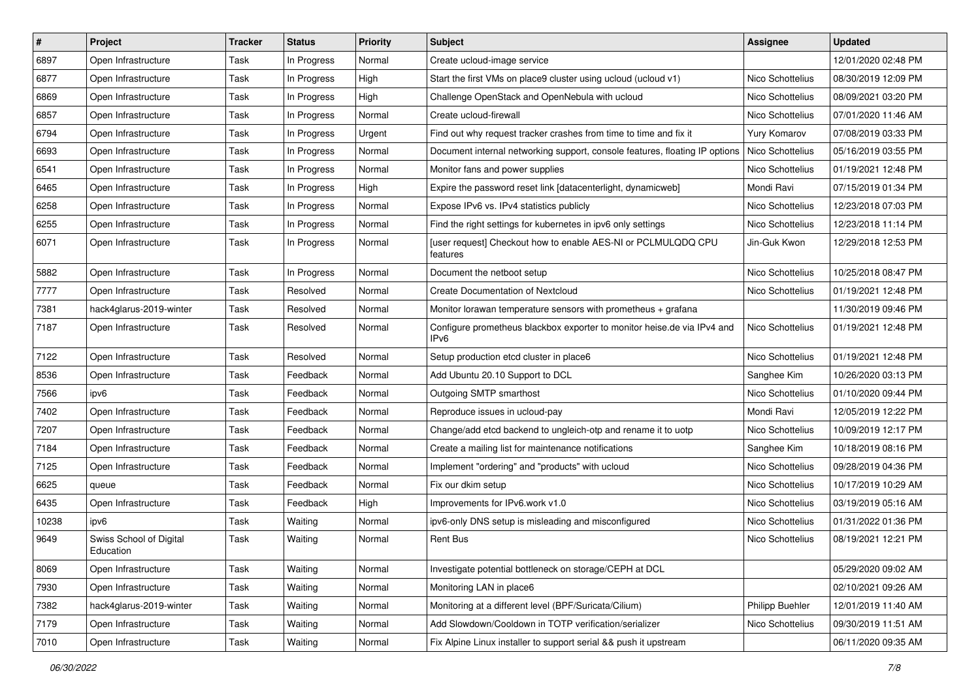| $\sharp$ | Project                              | <b>Tracker</b> | <b>Status</b> | <b>Priority</b> | Subject                                                                         | <b>Assignee</b>     | <b>Updated</b>      |
|----------|--------------------------------------|----------------|---------------|-----------------|---------------------------------------------------------------------------------|---------------------|---------------------|
| 6897     | Open Infrastructure                  | Task           | In Progress   | Normal          | Create ucloud-image service                                                     |                     | 12/01/2020 02:48 PM |
| 6877     | Open Infrastructure                  | Task           | In Progress   | High            | Start the first VMs on place9 cluster using ucloud (ucloud v1)                  | Nico Schottelius    | 08/30/2019 12:09 PM |
| 6869     | Open Infrastructure                  | Task           | In Progress   | High            | Challenge OpenStack and OpenNebula with ucloud                                  | Nico Schottelius    | 08/09/2021 03:20 PM |
| 6857     | Open Infrastructure                  | Task           | In Progress   | Normal          | Create ucloud-firewall                                                          | Nico Schottelius    | 07/01/2020 11:46 AM |
| 6794     | Open Infrastructure                  | Task           | In Progress   | Urgent          | Find out why request tracker crashes from time to time and fix it               | <b>Yury Komarov</b> | 07/08/2019 03:33 PM |
| 6693     | Open Infrastructure                  | Task           | In Progress   | Normal          | Document internal networking support, console features, floating IP options     | Nico Schottelius    | 05/16/2019 03:55 PM |
| 6541     | Open Infrastructure                  | Task           | In Progress   | Normal          | Monitor fans and power supplies                                                 | Nico Schottelius    | 01/19/2021 12:48 PM |
| 6465     | Open Infrastructure                  | Task           | In Progress   | High            | Expire the password reset link [datacenterlight, dynamicweb]                    | Mondi Ravi          | 07/15/2019 01:34 PM |
| 6258     | Open Infrastructure                  | Task           | In Progress   | Normal          | Expose IPv6 vs. IPv4 statistics publicly                                        | Nico Schottelius    | 12/23/2018 07:03 PM |
| 6255     | Open Infrastructure                  | Task           | In Progress   | Normal          | Find the right settings for kubernetes in ipv6 only settings                    | Nico Schottelius    | 12/23/2018 11:14 PM |
| 6071     | Open Infrastructure                  | Task           | In Progress   | Normal          | [user request] Checkout how to enable AES-NI or PCLMULQDQ CPU<br>features       | Jin-Guk Kwon        | 12/29/2018 12:53 PM |
| 5882     | Open Infrastructure                  | Task           | In Progress   | Normal          | Document the netboot setup                                                      | Nico Schottelius    | 10/25/2018 08:47 PM |
| 7777     | Open Infrastructure                  | Task           | Resolved      | Normal          | Create Documentation of Nextcloud                                               | Nico Schottelius    | 01/19/2021 12:48 PM |
| 7381     | hack4glarus-2019-winter              | Task           | Resolved      | Normal          | Monitor lorawan temperature sensors with prometheus + grafana                   |                     | 11/30/2019 09:46 PM |
| 7187     | Open Infrastructure                  | Task           | Resolved      | Normal          | Configure prometheus blackbox exporter to monitor heise.de via IPv4 and<br>IPv6 | Nico Schottelius    | 01/19/2021 12:48 PM |
| 7122     | Open Infrastructure                  | Task           | Resolved      | Normal          | Setup production etcd cluster in place6                                         | Nico Schottelius    | 01/19/2021 12:48 PM |
| 8536     | Open Infrastructure                  | Task           | Feedback      | Normal          | Add Ubuntu 20.10 Support to DCL                                                 | Sanghee Kim         | 10/26/2020 03:13 PM |
| 7566     | ipv6                                 | Task           | Feedback      | Normal          | Outgoing SMTP smarthost                                                         | Nico Schottelius    | 01/10/2020 09:44 PM |
| 7402     | Open Infrastructure                  | Task           | Feedback      | Normal          | Reproduce issues in ucloud-pay                                                  | Mondi Ravi          | 12/05/2019 12:22 PM |
| 7207     | Open Infrastructure                  | Task           | Feedback      | Normal          | Change/add etcd backend to ungleich-otp and rename it to uotp                   | Nico Schottelius    | 10/09/2019 12:17 PM |
| 7184     | Open Infrastructure                  | Task           | Feedback      | Normal          | Create a mailing list for maintenance notifications                             | Sanghee Kim         | 10/18/2019 08:16 PM |
| 7125     | Open Infrastructure                  | Task           | Feedback      | Normal          | Implement "ordering" and "products" with ucloud                                 | Nico Schottelius    | 09/28/2019 04:36 PM |
| 6625     | queue                                | Task           | Feedback      | Normal          | Fix our dkim setup                                                              | Nico Schottelius    | 10/17/2019 10:29 AM |
| 6435     | Open Infrastructure                  | Task           | Feedback      | High            | Improvements for IPv6.work v1.0                                                 | Nico Schottelius    | 03/19/2019 05:16 AM |
| 10238    | ipv6                                 | Task           | Waiting       | Normal          | ipv6-only DNS setup is misleading and misconfigured                             | Nico Schottelius    | 01/31/2022 01:36 PM |
| 9649     | Swiss School of Digital<br>Education | Task           | Waiting       | Normal          | <b>Rent Bus</b>                                                                 | Nico Schottelius    | 08/19/2021 12:21 PM |
| 8069     | Open Infrastructure                  | Task           | Waiting       | Normal          | Investigate potential bottleneck on storage/CEPH at DCL                         |                     | 05/29/2020 09:02 AM |
| 7930     | Open Infrastructure                  | Task           | Waiting       | Normal          | Monitoring LAN in place6                                                        |                     | 02/10/2021 09:26 AM |
| 7382     | hack4glarus-2019-winter              | Task           | Waiting       | Normal          | Monitoring at a different level (BPF/Suricata/Cilium)                           | Philipp Buehler     | 12/01/2019 11:40 AM |
| 7179     | Open Infrastructure                  | Task           | Waiting       | Normal          | Add Slowdown/Cooldown in TOTP verification/serializer                           | Nico Schottelius    | 09/30/2019 11:51 AM |
| 7010     | Open Infrastructure                  | Task           | Waiting       | Normal          | Fix Alpine Linux installer to support serial && push it upstream                |                     | 06/11/2020 09:35 AM |